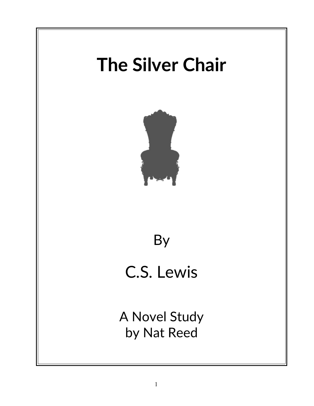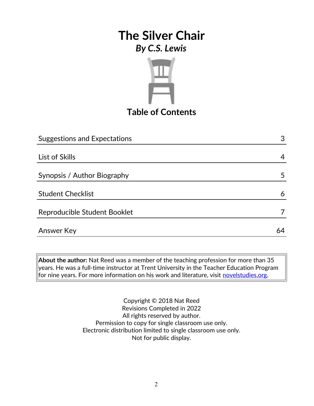

## **Table of Contents**

| <b>Suggestions and Expectations</b> | 3  |
|-------------------------------------|----|
|                                     |    |
| List of Skills                      | 4  |
|                                     |    |
| Synopsis / Author Biography         | 5  |
|                                     |    |
| <b>Student Checklist</b>            | 6  |
|                                     |    |
| Reproducible Student Booklet        |    |
|                                     |    |
| <b>Answer Key</b>                   | 64 |

**About the author:** Nat Reed was a member of the teaching profession for more than 35 years. He was a full-time instructor at Trent University in the Teacher Education Program for nine years. For more information on his work and literature, visit [novelstudies.org.](http://www.novelstudies.org/)

> Copyright © 2018 Nat Reed Revisions Completed in 2022 All rights reserved by author. Permission to copy for single classroom use only. Electronic distribution limited to single classroom use only. Not for public display.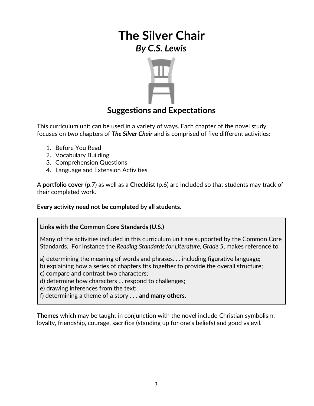

### **Suggestions and Expectations**

This curriculum unit can be used in a variety of ways. Each chapter of the novel study focuses on two chapters of *The Silver Chair* and is comprised of five different activities:

- 1. Before You Read
- 2. Vocabulary Building
- 3. Comprehension Questions
- 4. Language and Extension Activities

A **portfolio cover** (p.7) as well as a **Checklist** (p.6) are included so that students may track of their completed work.

#### **Every activity need not be completed by all students.**

#### **Links with the Common Core Standards (U.S.)**

Many of the activities included in this curriculum unit are supported by the Common Core Standards. For instance the *Reading Standards for Literature, Grade 5*, makes reference to

a) determining the meaning of words and phrases. . . including figurative language;

- b) explaining how a series of chapters fits together to provide the overall structure;
- c) compare and contrast two characters;
- d) determine how characters … respond to challenges;
- e) drawing inferences from the text;
- f) determining a theme of a story . . . **and many others.**

**Themes** which may be taught in conjunction with the novel include Christian symbolism, loyalty, friendship, courage, sacrifice (standing up for one's beliefs) and good vs evil.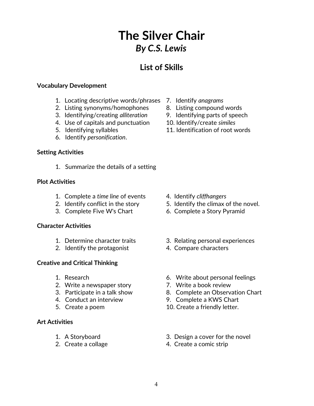## **List of Skills**

#### **Vocabulary Development**

- 1. Locating descriptive words/phrases 7. Identify *anagrams*
- 2. Listing synonyms/homophones 8. Listing compound words
- 
- 4. Use of capitals and punctuation 10. Identify/create *similes*
- 
- 6. Identify *personification*.

#### **Setting Activities**

1. Summarize the details of a setting

#### **Plot Activities**

- 1. Complete a *time line* of events 4. Identify *cliffhangers*
- 
- 

#### **Character Activities**

- 
- 2. Identify the protagonist 4. Compare characters

#### **Creative and Critical Thinking**

- 
- 2. Write a newspaper story **7.** Write a book review
- 
- 
- 

#### **Art Activities**

- 
- 
- 
- 
- 3. Identifying/creating *alliteration* 9. Identifying parts of speech
	-
- 5. Identifying syllables 11. Identification of root words

- 
- 2. Identify conflict in the story 5. Identify the climax of the novel.
- 3. Complete Five W's Chart 6. Complete a Story Pyramid
- 1. Determine character traits 3. Relating personal experiences
	-
- 1. Research 6. Write about personal feelings
	-
- 3. Participate in a talk show 8. Complete an Observation Chart
- 4. Conduct an interview 9. Complete a KWS Chart
- 5. Create a poem 10. Create a friendly letter.
- 1. A Storyboard 3. Design a cover for the novel
- 2. Create a collage 4. Create a comic strip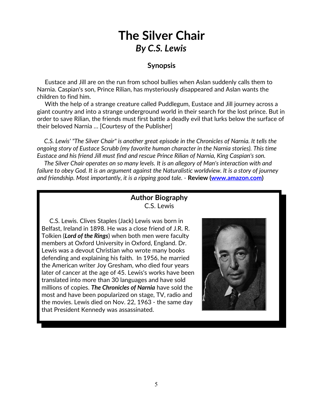#### **Synopsis**

 Eustace and Jill are on the run from school bullies when Aslan suddenly calls them to Narnia. Caspian's son, Prince Rilian, has mysteriously disappeared and Aslan wants the children to find him.

 With the help of a strange creature called Puddlegum, Eustace and Jill journey across a giant country and into a strange underground world in their search for the lost prince. But in order to save Rilian, the friends must first battle a deadly evil that lurks below the surface of their beloved Narnia … [Courtesy of the Publisher]

 *C.S. Lewis' "The Silver Chair" is another great episode in the Chronicles of Narnia. It tells the ongoing story of Eustace Scrubb (my favorite human character in the Narnia stories). This time Eustace and his friend Jill must find and rescue Prince Rilian of Narnia, King Caspian's son.*

 *The Silver Chair operates on so many levels. It is an allegory of Man's interaction with and failure to obey God. It is an argument against the Naturalistic worldview. It is a story of journey and friendship. Most importantly, it is a ripping good tale. -* **Review [\(www.amazon.com\)](http://www.amazon.com/)**

#### **Author Biography** C.S. Lewis

 C.S. Lewis. Clives Staples (Jack) Lewis was born in Belfast, Ireland in 1898. He was a close friend of J.R. R. Tolkien (*Lord of the Rings*) when both men were faculty members at Oxford University in Oxford, England. Dr. Lewis was a devout Christian who wrote many books defending and explaining his faith. In 1956, he married the American writer [Joy Gresham,](http://en.wikipedia.org/wiki/Joy_Gresham) who died four years later of cancer at the age of 45. Lewis's works have been translated into more than 30 languages and have sold millions of copies. *The Chronicles of Narnia* have sold the most and have been popularized on stage, TV, radio and the movies. Lewis died on Nov. 22, 1963 - the same day that President Kennedy was assassinated.

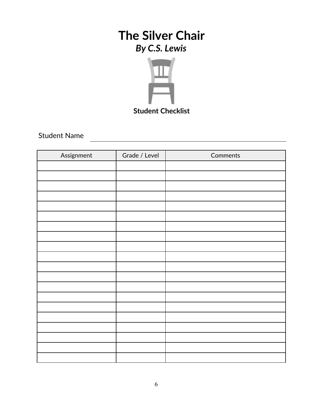

Student Name

| Assignment | Grade / Level | Comments |
|------------|---------------|----------|
|            |               |          |
|            |               |          |
|            |               |          |
|            |               |          |
|            |               |          |
|            |               |          |
|            |               |          |
|            |               |          |
|            |               |          |
|            |               |          |
|            |               |          |
|            |               |          |
|            |               |          |
|            |               |          |
|            |               |          |
|            |               |          |
|            |               |          |
|            |               |          |
|            |               |          |
|            |               |          |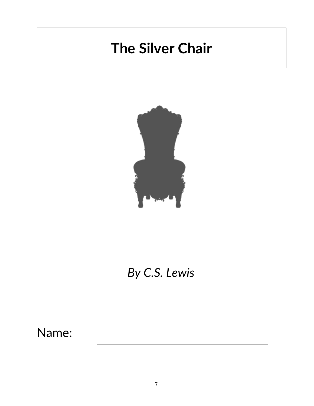# **The Silver Chair**



# *By C.S. Lewis*

Name: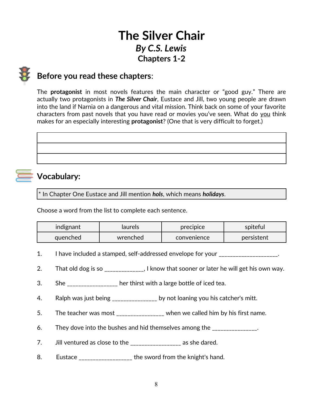# **The Silver Chair** *By C.S. Lewis* **Chapters 1-2**

### **Before you read these chapters**:

The **protagonist** in most novels features the main character or "good guy." There are actually two protagonists in *The Silver Chair*, Eustace and Jill, two young people are drawn into the land if Narnia on a dangerous and vital mission. Think back on some of your favorite characters from past novels that you have read or movies you've seen. What do you think makes for an especially interesting **protagonist**? (One that is very difficult to forget.)

# **Vocabulary:**

\* In Chapter One Eustace and Jill mention *hols*, which means *holidays*.

Choose a word from the list to complete each sentence.

| indignant | laurels  | precipice   | spiteful   |
|-----------|----------|-------------|------------|
| quenched  | wrenched | convenience | persistent |

- 1. I have included a stamped, self-addressed envelope for your \_\_\_\_\_\_\_\_\_\_\_\_\_\_\_\_\_.
- 2. That old dog is so  $\qquad \qquad$ , I know that sooner or later he will get his own way.
- 3. She \_\_\_\_\_\_\_\_\_\_\_\_\_\_\_\_ her thirst with a large bottle of iced tea.
- 4. Ralph was just being \_\_\_\_\_\_\_\_\_\_\_\_\_\_\_ by not loaning you his catcher's mitt.
- 5. The teacher was most \_\_\_\_\_\_\_\_\_\_\_\_\_\_\_ when we called him by his first name.
- 6. They dove into the bushes and hid themselves among the \_\_\_\_\_\_\_\_\_\_\_\_\_\_.
- 7. Jill ventured as close to the \_\_\_\_\_\_\_\_\_\_\_\_\_\_\_\_\_\_ as she dared.
- 8. Eustace \_\_\_\_\_\_\_\_\_\_\_\_\_\_\_\_\_\_\_ the sword from the knight's hand.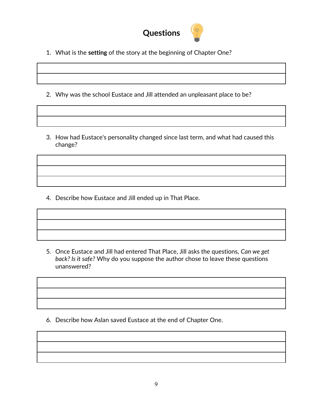

- 1. What is the **setting** of the story at the beginning of Chapter One?
- 2. Why was the school Eustace and Jill attended an unpleasant place to be?
- 3. How had Eustace's personality changed since last term, and what had caused this change?

4. Describe how Eustace and Jill ended up in That Place.

5. Once Eustace and Jill had entered That Place, Jill asks the questions, *Can we get back? Is it safe?* Why do you suppose the author chose to leave these questions unanswered?

6. Describe how Aslan saved Eustace at the end of Chapter One.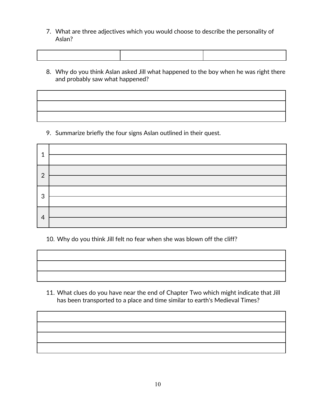7. What are three adjectives which you would choose to describe the personality of Aslan?

8. Why do you think Aslan asked Jill what happened to the boy when he was right there and probably saw what happened?

9. Summarize briefly the four signs Aslan outlined in their quest.

| റ |  |
|---|--|
|   |  |
| 3 |  |
|   |  |
|   |  |
| 4 |  |

10. Why do you think Jill felt no fear when she was blown off the cliff?

11. What clues do you have near the end of Chapter Two which might indicate that Jill has been transported to a place and time similar to earth's Medieval Times?

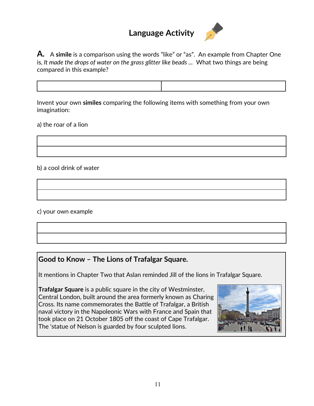## **Language Activity**



**A.** A **simile** is a comparison using the words "like" or "as". An example from Chapter One is, *It made the drops of water on the grass glitter like beads ...* What two things are being compared in this example?

Invent your own **similes** comparing the following items with something from your own imagination:

a) the roar of a lion

b) a cool drink of water

c) your own example

#### **Good to Know – The Lions of Trafalgar Square.**

It mentions in Chapter Two that Aslan reminded Jill of the lions in Trafalgar Square.

**Trafalgar Square** is a public square in the city of Westminster, [Central London,](https://en.wikipedia.org/wiki/Central_London) built around the area formerly known as [Charing](https://en.wikipedia.org/wiki/Charing_Cross) [Cross.](https://en.wikipedia.org/wiki/Charing_Cross) Its name commemorates the [Battle of Trafalgar,](https://en.wikipedia.org/wiki/Battle_of_Trafalgar) a British naval victory in the Napoleonic Wars with France and Spain that took place on 21 October 1805 off the coast of [Cape Trafalgar.](https://en.wikipedia.org/wiki/Cape_Trafalgar) The 'statue of Nelson is guarded by four sculpted lions.

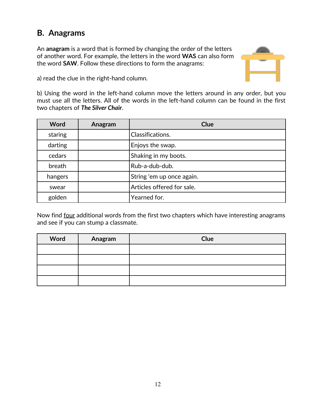## **B. Anagrams**

An **anagram** is a word that is formed by changing the order of the letters of another word. For example, the letters in the word **WAS** can also form the word **SAW**. Follow these directions to form the anagrams:



a) read the clue in the right-hand column.

b) Using the word in the left-hand column move the letters around in any order, but you must use all the letters. All of the words in the left-hand column can be found in the first two chapters of *The Silver Chair*.

| Word    | Anagram | <b>Clue</b>                |
|---------|---------|----------------------------|
| staring |         | Classifications.           |
| darting |         | Enjoys the swap.           |
| cedars  |         | Shaking in my boots.       |
| breath  |         | Rub-a-dub-dub.             |
| hangers |         | String 'em up once again.  |
| swear   |         | Articles offered for sale. |
| golden  |         | Yearned for.               |

Now find four additional words from the first two chapters which have interesting anagrams and see if you can stump a classmate.

| Word | Anagram | Clue |
|------|---------|------|
|      |         |      |
|      |         |      |
|      |         |      |
|      |         |      |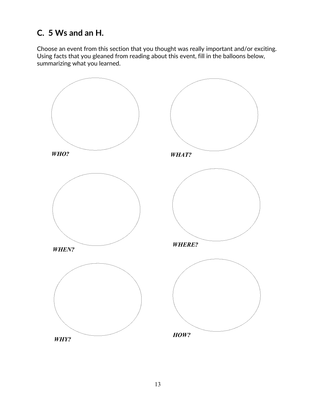## **C. 5 Ws and an H.**

Choose an event from this section that you thought was really important and/or exciting. Using facts that you gleaned from reading about this event, fill in the balloons below, summarizing what you learned.

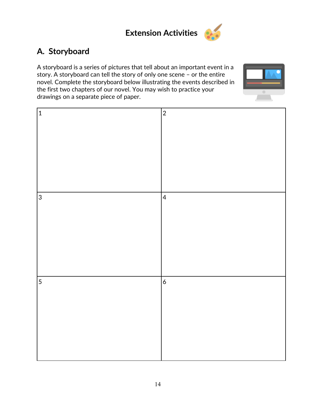

# **A. Storyboard**

A storyboard is a series of pictures that tell about an important event in a story. A storyboard can tell the story of only one scene – or the entire novel. Complete the storyboard below illustrating the events described in the first two chapters of our novel. You may wish to practice your drawings on a separate piece of paper.